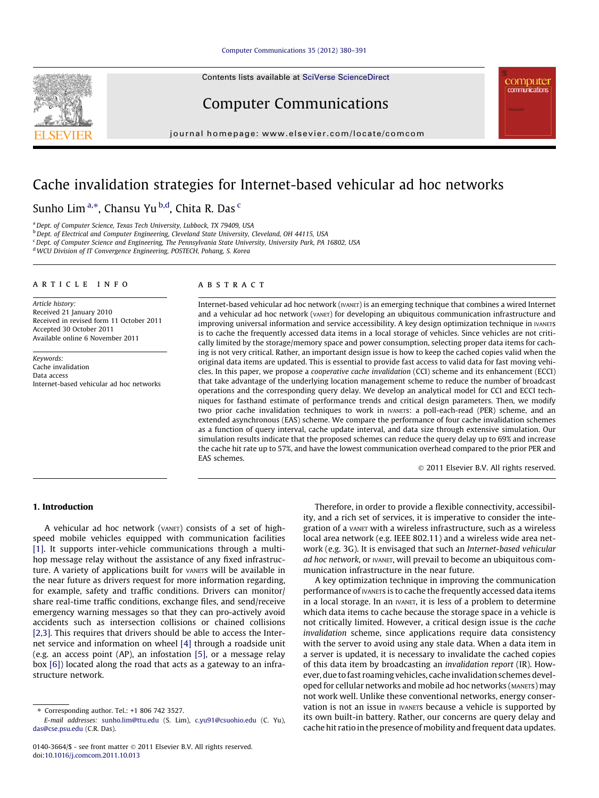Contents lists available at [SciVerse ScienceDirect](http://www.sciencedirect.com/science/journal/01403664)

# Computer Communications

journal homepage: [www.elsevier.com/locate/comcom](http://www.elsevier.com/locate/comcom)

# Cache invalidation strategies for Internet-based vehicular ad hoc networks

# Sunho Lim<sup>a,</sup>\*, Chansu Yu<sup>b,d</sup>, Chita R. Das <sup>c</sup>

<sup>a</sup> Dept. of Computer Science, Texas Tech University, Lubbock, TX 79409, USA

b Dept. of Electrical and Computer Engineering, Cleveland State University, Cleveland, OH 44115, USA

<sup>c</sup> Dept. of Computer Science and Engineering, The Pennsylvania State University, University Park, PA 16802, USA

<sup>d</sup> WCU Division of IT Convergence Engineering, POSTECH, Pohang, S. Korea

#### article info

Article history: Received 21 January 2010 Received in revised form 11 October 2011 Accepted 30 October 2011 Available online 6 November 2011

Keywords: Cache invalidation Data access Internet-based vehicular ad hoc networks

#### ABSTRACT

Internet-based vehicular ad hoc network (IVANET) is an emerging technique that combines a wired Internet and a vehicular ad hoc network (VANET) for developing an ubiquitous communication infrastructure and improving universal information and service accessibility. A key design optimization technique in *IVANETS* is to cache the frequently accessed data items in a local storage of vehicles. Since vehicles are not critically limited by the storage/memory space and power consumption, selecting proper data items for caching is not very critical. Rather, an important design issue is how to keep the cached copies valid when the original data items are updated. This is essential to provide fast access to valid data for fast moving vehicles. In this paper, we propose a cooperative cache invalidation (CCI) scheme and its enhancement (ECCI) that take advantage of the underlying location management scheme to reduce the number of broadcast operations and the corresponding query delay. We develop an analytical model for CCI and ECCI techniques for fasthand estimate of performance trends and critical design parameters. Then, we modify two prior cache invalidation techniques to work in IVANETs: a poll-each-read (PER) scheme, and an extended asynchronous (EAS) scheme. We compare the performance of four cache invalidation schemes as a function of query interval, cache update interval, and data size through extensive simulation. Our simulation results indicate that the proposed schemes can reduce the query delay up to 69% and increase the cache hit rate up to 57%, and have the lowest communication overhead compared to the prior PER and EAS schemes.

- 2011 Elsevier B.V. All rights reserved.

computer communications

#### 1. Introduction

A vehicular ad hoc network (VANET) consists of a set of highspeed mobile vehicles equipped with communication facilities [\[1\]](#page-10-0). It supports inter-vehicle communications through a multihop message relay without the assistance of any fixed infrastructure. A variety of applications built for VANETs will be available in the near future as drivers request for more information regarding, for example, safety and traffic conditions. Drivers can monitor/ share real-time traffic conditions, exchange files, and send/receive emergency warning messages so that they can pro-actively avoid accidents such as intersection collisions or chained collisions [\[2,3\]](#page-10-0). This requires that drivers should be able to access the Internet service and information on wheel [\[4\]](#page-10-0) through a roadside unit (e.g. an access point (AP), an infostation [\[5\],](#page-10-0) or a message relay box [\[6\]\)](#page-10-0) located along the road that acts as a gateway to an infrastructure network.

Therefore, in order to provide a flexible connectivity, accessibility, and a rich set of services, it is imperative to consider the integration of a VANET with a wireless infrastructure, such as a wireless local area network (e.g. IEEE 802.11) and a wireless wide area network (e.g. 3G). It is envisaged that such an Internet-based vehicular ad hoc network, or IVANET, will prevail to become an ubiquitous communication infrastructure in the near future.

A key optimization technique in improving the communication performance of IVANETs is to cache the frequently accessed data items in a local storage. In an IVANET, it is less of a problem to determine which data items to cache because the storage space in a vehicle is not critically limited. However, a critical design issue is the cache invalidation scheme, since applications require data consistency with the server to avoid using any stale data. When a data item in a server is updated, it is necessary to invalidate the cached copies of this data item by broadcasting an invalidation report (IR). However, due to fast roaming vehicles, cache invalidation schemes developed for cellular networks and mobile ad hoc networks (MANETS) may not work well. Unlike these conventional networks, energy conservation is not an issue in IVANETs because a vehicle is supported by its own built-in battery. Rather, our concerns are query delay and cache hit ratio in the presence of mobility and frequent data updates.



<sup>⇑</sup> Corresponding author. Tel.: +1 806 742 3527.

E-mail addresses: [sunho.lim@ttu.edu](mailto:sunho.lim@ttu.edu) (S. Lim), [c.yu91@csuohio.edu](mailto:c.yu91@csuohio.edu) (C. Yu), [das@cse.psu.edu](mailto:das@cse.psu.edu) (C.R. Das).

<sup>0140-3664/\$ -</sup> see front matter © 2011 Elsevier B.V. All rights reserved. doi:[10.1016/j.comcom.2011.10.013](http://dx.doi.org/10.1016/j.comcom.2011.10.013)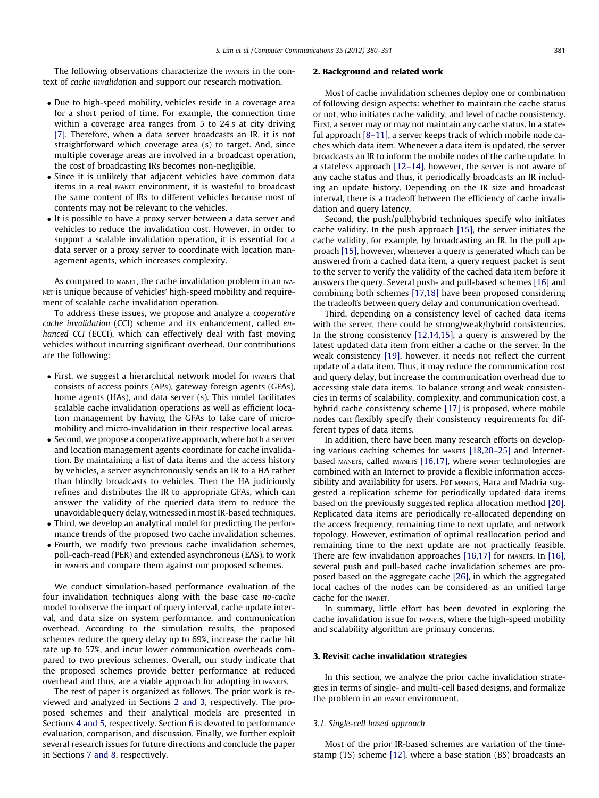<span id="page-1-0"></span>The following observations characterize the *IVANETS* in the context of cache invalidation and support our research motivation.

- Due to high-speed mobility, vehicles reside in a coverage area for a short period of time. For example, the connection time within a coverage area ranges from 5 to 24 s at city driving [\[7\].](#page-10-0) Therefore, when a data server broadcasts an IR, it is not straightforward which coverage area (s) to target. And, since multiple coverage areas are involved in a broadcast operation, the cost of broadcasting IRs becomes non-negligible.
- Since it is unlikely that adjacent vehicles have common data items in a real IVANET environment, it is wasteful to broadcast the same content of IRs to different vehicles because most of contents may not be relevant to the vehicles.
- It is possible to have a proxy server between a data server and vehicles to reduce the invalidation cost. However, in order to support a scalable invalidation operation, it is essential for a data server or a proxy server to coordinate with location management agents, which increases complexity.

As compared to MANET, the cache invalidation problem in an IVA-NET is unique because of vehicles' high-speed mobility and requirement of scalable cache invalidation operation.

To address these issues, we propose and analyze a cooperative cache invalidation (CCI) scheme and its enhancement, called enhanced CCI (ECCI), which can effectively deal with fast moving vehicles without incurring significant overhead. Our contributions are the following:

- First, we suggest a hierarchical network model for IVANETs that consists of access points (APs), gateway foreign agents (GFAs), home agents (HAs), and data server (s). This model facilitates scalable cache invalidation operations as well as efficient location management by having the GFAs to take care of micromobility and micro-invalidation in their respective local areas.
- Second, we propose a cooperative approach, where both a server and location management agents coordinate for cache invalidation. By maintaining a list of data items and the access history by vehicles, a server asynchronously sends an IR to a HA rather than blindly broadcasts to vehicles. Then the HA judiciously refines and distributes the IR to appropriate GFAs, which can answer the validity of the queried data item to reduce the unavoidable query delay, witnessed inmost IR-based techniques.
- Third, we develop an analytical model for predicting the performance trends of the proposed two cache invalidation schemes.
- Fourth, we modify two previous cache invalidation schemes, poll-each-read (PER) and extended asynchronous (EAS), to work in IVANETs and compare them against our proposed schemes.

We conduct simulation-based performance evaluation of the four invalidation techniques along with the base case no-cache model to observe the impact of query interval, cache update interval, and data size on system performance, and communication overhead. According to the simulation results, the proposed schemes reduce the query delay up to 69%, increase the cache hit rate up to 57%, and incur lower communication overheads compared to two previous schemes. Overall, our study indicate that the proposed schemes provide better performance at reduced overhead and thus, are a viable approach for adopting in *IVANETS*.

The rest of paper is organized as follows. The prior work is reviewed and analyzed in Sections 2 and 3, respectively. The proposed schemes and their analytical models are presented in Sections [4 and 5](#page-2-0), respectively. Section [6](#page-6-0) is devoted to performance evaluation, comparison, and discussion. Finally, we further exploit several research issues for future directions and conclude the paper in Sections [7 and 8](#page-9-0), respectively.

### 2. Background and related work

Most of cache invalidation schemes deploy one or combination of following design aspects: whether to maintain the cache status or not, who initiates cache validity, and level of cache consistency. First, a server may or may not maintain any cache status. In a stateful approach [\[8–11\]](#page-10-0), a server keeps track of which mobile node caches which data item. Whenever a data item is updated, the server broadcasts an IR to inform the mobile nodes of the cache update. In a stateless approach [\[12–14\]](#page-10-0), however, the server is not aware of any cache status and thus, it periodically broadcasts an IR including an update history. Depending on the IR size and broadcast interval, there is a tradeoff between the efficiency of cache invalidation and query latency.

Second, the push/pull/hybrid techniques specify who initiates cache validity. In the push approach [\[15\]](#page-10-0), the server initiates the cache validity, for example, by broadcasting an IR. In the pull approach [\[15\],](#page-10-0) however, whenever a query is generated which can be answered from a cached data item, a query request packet is sent to the server to verify the validity of the cached data item before it answers the query. Several push- and pull-based schemes [\[16\]](#page-10-0) and combining both schemes [\[17,18\]](#page-10-0) have been proposed considering the tradeoffs between query delay and communication overhead.

Third, depending on a consistency level of cached data items with the server, there could be strong/weak/hybrid consistencies. In the strong consistency [\[12,14,15\],](#page-10-0) a query is answered by the latest updated data item from either a cache or the server. In the weak consistency [\[19\],](#page-10-0) however, it needs not reflect the current update of a data item. Thus, it may reduce the communication cost and query delay, but increase the communication overhead due to accessing stale data items. To balance strong and weak consistencies in terms of scalability, complexity, and communication cost, a hybrid cache consistency scheme [\[17\]](#page-10-0) is proposed, where mobile nodes can flexibly specify their consistency requirements for different types of data items.

In addition, there have been many research efforts on developing various caching schemes for MANETS [18,20-25] and Internetbased MANETs, called IMANETs [\[16,17\]](#page-10-0), where MANET technologies are combined with an Internet to provide a flexible information accessibility and availability for users. For MANETS, Hara and Madria suggested a replication scheme for periodically updated data items based on the previously suggested replica allocation method [\[20\].](#page-10-0) Replicated data items are periodically re-allocated depending on the access frequency, remaining time to next update, and network topology. However, estimation of optimal reallocation period and remaining time to the next update are not practically feasible. There are few invalidation approaches  $[16,17]$  for *IMANETS*. In  $[16]$ , several push and pull-based cache invalidation schemes are proposed based on the aggregate cache [\[26\]](#page-10-0), in which the aggregated local caches of the nodes can be considered as an unified large cache for the IMANET.

In summary, little effort has been devoted in exploring the cache invalidation issue for IVANETs, where the high-speed mobility and scalability algorithm are primary concerns.

#### 3. Revisit cache invalidation strategies

In this section, we analyze the prior cache invalidation strategies in terms of single- and multi-cell based designs, and formalize the problem in an IVANET environment.

#### 3.1. Single-cell based approach

Most of the prior IR-based schemes are variation of the timestamp (TS) scheme [\[12\]](#page-10-0), where a base station (BS) broadcasts an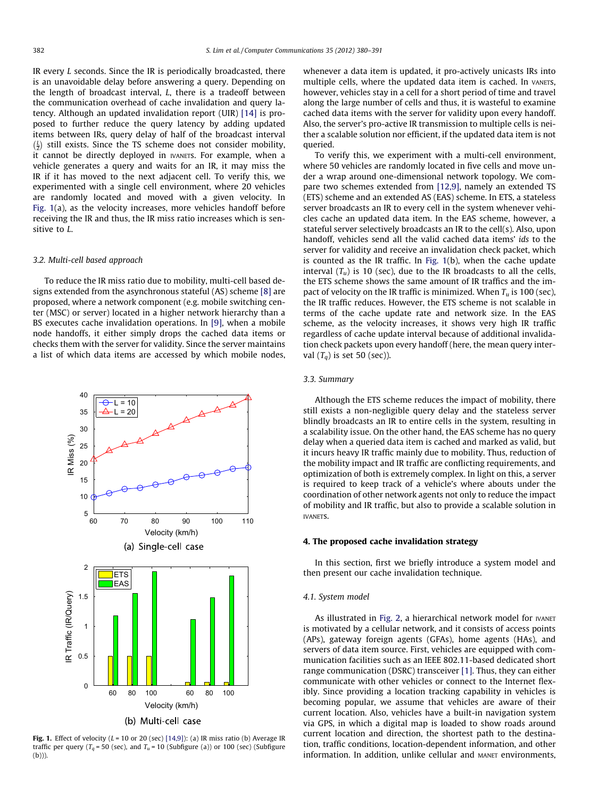<span id="page-2-0"></span>IR every L seconds. Since the IR is periodically broadcasted, there is an unavoidable delay before answering a query. Depending on the length of broadcast interval, L, there is a tradeoff between the communication overhead of cache invalidation and query latency. Although an updated invalidation report (UIR) [\[14\]](#page-10-0) is proposed to further reduce the query latency by adding updated items between IRs, query delay of half of the broadcast interval  $\frac{1}{2}$  still exists. Since the TS scheme does not consider mobility, it cannot be directly deployed in IVANETS. For example, when a vehicle generates a query and waits for an IR, it may miss the IR if it has moved to the next adjacent cell. To verify this, we experimented with a single cell environment, where 20 vehicles are randomly located and moved with a given velocity. In Fig. 1(a), as the velocity increases, more vehicles handoff before receiving the IR and thus, the IR miss ratio increases which is sensitive to L.

#### 3.2. Multi-cell based approach

To reduce the IR miss ratio due to mobility, multi-cell based designs extended from the asynchronous stateful (AS) scheme [\[8\]](#page-10-0) are proposed, where a network component (e.g. mobile switching center (MSC) or server) located in a higher network hierarchy than a BS executes cache invalidation operations. In [\[9\],](#page-10-0) when a mobile node handoffs, it either simply drops the cached data items or checks them with the server for validity. Since the server maintains a list of which data items are accessed by which mobile nodes,



Fig. 1. Effect of velocity ( $L = 10$  or 20 (sec) [\[14,9\]](#page-10-0)): (a) IR miss ratio (b) Average IR traffic per query ( $T_q$  = 50 (sec), and  $T_u$  = 10 (Subfigure (a)) or 100 (sec) (Subfigure (b))).

whenever a data item is updated, it pro-actively unicasts IRs into multiple cells, where the updated data item is cached. In vaners, however, vehicles stay in a cell for a short period of time and travel along the large number of cells and thus, it is wasteful to examine cached data items with the server for validity upon every handoff. Also, the server's pro-active IR transmission to multiple cells is neither a scalable solution nor efficient, if the updated data item is not queried.

To verify this, we experiment with a multi-cell environment, where 50 vehicles are randomly located in five cells and move under a wrap around one-dimensional network topology. We compare two schemes extended from [\[12,9\],](#page-10-0) namely an extended TS (ETS) scheme and an extended AS (EAS) scheme. In ETS, a stateless server broadcasts an IR to every cell in the system whenever vehicles cache an updated data item. In the EAS scheme, however, a stateful server selectively broadcasts an IR to the cell(s). Also, upon handoff, vehicles send all the valid cached data items' ids to the server for validity and receive an invalidation check packet, which is counted as the IR traffic. In Fig. 1(b), when the cache update interval  $(T_u)$  is 10 (sec), due to the IR broadcasts to all the cells, the ETS scheme shows the same amount of IR traffics and the impact of velocity on the IR traffic is minimized. When  $T_u$  is 100 (sec), the IR traffic reduces. However, the ETS scheme is not scalable in terms of the cache update rate and network size. In the EAS scheme, as the velocity increases, it shows very high IR traffic regardless of cache update interval because of additional invalidation check packets upon every handoff (here, the mean query interval  $(T_a)$  is set 50 (sec)).

#### 3.3. Summary

Although the ETS scheme reduces the impact of mobility, there still exists a non-negligible query delay and the stateless server blindly broadcasts an IR to entire cells in the system, resulting in a scalability issue. On the other hand, the EAS scheme has no query delay when a queried data item is cached and marked as valid, but it incurs heavy IR traffic mainly due to mobility. Thus, reduction of the mobility impact and IR traffic are conflicting requirements, and optimization of both is extremely complex. In light on this, a server is required to keep track of a vehicle's where abouts under the coordination of other network agents not only to reduce the impact of mobility and IR traffic, but also to provide a scalable solution in IVANETs.

#### 4. The proposed cache invalidation strategy

In this section, first we briefly introduce a system model and then present our cache invalidation technique.

#### 4.1. System model

As illustrated in [Fig. 2](#page-3-0), a hierarchical network model for IVANET is motivated by a cellular network, and it consists of access points (APs), gateway foreign agents (GFAs), home agents (HAs), and servers of data item source. First, vehicles are equipped with communication facilities such as an IEEE 802.11-based dedicated short range communication (DSRC) transceiver [\[1\].](#page-10-0) Thus, they can either communicate with other vehicles or connect to the Internet flexibly. Since providing a location tracking capability in vehicles is becoming popular, we assume that vehicles are aware of their current location. Also, vehicles have a built-in navigation system via GPS, in which a digital map is loaded to show roads around current location and direction, the shortest path to the destination, traffic conditions, location-dependent information, and other information. In addition, unlike cellular and MANET environments,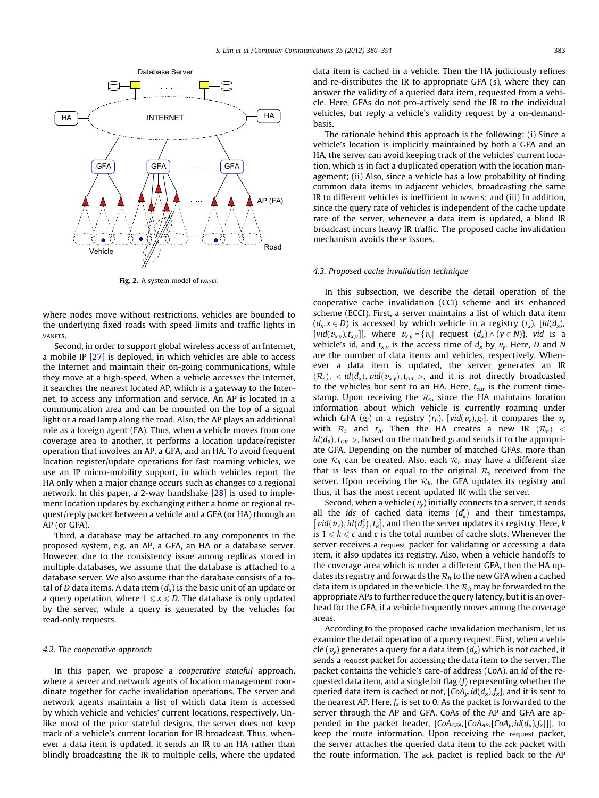<span id="page-3-0"></span>

Fig. 2. A system model of IVANET.

where nodes move without restrictions, vehicles are bounded to the underlying fixed roads with speed limits and traffic lights in VANETs.

Second, in order to support global wireless access of an Internet, a mobile IP [\[27\]](#page-10-0) is deployed, in which vehicles are able to access the Internet and maintain their on-going communications, while they move at a high-speed. When a vehicle accesses the Internet, it searches the nearest located AP, which is a gateway to the Internet, to access any information and service. An AP is located in a communication area and can be mounted on the top of a signal light or a road lamp along the road. Also, the AP plays an additional role as a foreign agent (FA). Thus, when a vehicle moves from one coverage area to another, it performs a location update/register operation that involves an AP, a GFA, and an HA. To avoid frequent location register/update operations for fast roaming vehicles, we use an IP micro-mobility support, in which vehicles report the HA only when a major change occurs such as changes to a regional network. In this paper, a 2-way handshake [\[28\]](#page-10-0) is used to implement location updates by exchanging either a home or regional request/reply packet between a vehicle and a GFA (or HA) through an AP (or GFA).

Third, a database may be attached to any components in the proposed system, e.g. an AP, a GFA, an HA or a database server. However, due to the consistency issue among replicas stored in multiple databases, we assume that the database is attached to a database server. We also assume that the database consists of a total of D data items. A data item  $(d_x)$  is the basic unit of an update or a query operation, where  $1 \le x \le D$ . The database is only updated by the server, while a query is generated by the vehicles for read-only requests.

#### 4.2. The cooperative approach

In this paper, we propose a cooperative stateful approach, where a server and network agents of location management coordinate together for cache invalidation operations. The server and network agents maintain a list of which data item is accessed by which vehicle and vehicles' current locations, respectively. Unlike most of the prior stateful designs, the server does not keep track of a vehicle's current location for IR broadcast. Thus, whenever a data item is updated, it sends an IR to an HA rather than blindly broadcasting the IR to multiple cells, where the updated data item is cached in a vehicle. Then the HA judiciously refines and re-distributes the IR to appropriate GFA (s), where they can answer the validity of a queried data item, requested from a vehicle. Here, GFAs do not pro-actively send the IR to the individual vehicles, but reply a vehicle's validity request by a on-demandbasis.

The rationale behind this approach is the following: (i) Since a vehicle's location is implicitly maintained by both a GFA and an HA, the server can avoid keeping track of the vehicles' current location, which is in fact a duplicated operation with the location management; (ii) Also, since a vehicle has a low probability of finding common data items in adjacent vehicles, broadcasting the same IR to different vehicles is inefficient in **IVANETS**; and (iii) In addition, since the query rate of vehicles is independent of the cache update rate of the server, whenever a data item is updated, a blind IR broadcast incurs heavy IR traffic. The proposed cache invalidation mechanism avoids these issues.

#### 4.3. Proposed cache invalidation technique

In this subsection, we describe the detail operation of the cooperative cache invalidation (CCI) scheme and its enhanced scheme (ECCI). First, a server maintains a list of which data item  $(d_x, x \in D)$  is accessed by which vehicle in a registry  $(r_s)$ , [id( $d_x$ ), [vid( $v_{x,y}$ ),  $t_{x,y}$ ]], where  $v_{x,y} = \{v_y |$  request  $(d_x) \wedge (y \in N)$ , vid is a vehicle's id, and  $t_{x,y}$  is the access time of  $d_x$  by  $v_y$ . Here, D and N are the number of data items and vehicles, respectively. Whenever a data item is updated, the server generates an IR  $(\mathcal{R}_s)$ ,  $\langle id(d_x), vid(v_{xy}), t_{cur} \rangle$ , and it is not directly broadcasted to the vehicles but sent to an HA. Here,  $t_{cur}$  is the current timestamp. Upon receiving the  $\mathcal{R}_s$ , since the HA maintains location information about which vehicle is currently roaming under which GFA  $(g_i)$  in a registry  $(r_h)$ , [vid( $v_y$ ), $g_i$ ], it compares the  $v_y$ with  $\mathcal{R}_s$  and  $r_h$ . Then the HA creates a new IR  $(\mathcal{R}_h)$ , <  $id(d_x)$ ,  $t_{cur}$  >, based on the matched  $g_i$  and sends it to the appropriate GFA. Depending on the number of matched GFAs, more than one  $\mathcal{R}_h$  can be created. Also, each  $\mathcal{R}_h$  may have a different size that is less than or equal to the original  $\mathcal{R}_s$  received from the server. Upon receiving the  $\mathcal{R}_h$ , the GFA updates its registry and thus, it has the most recent updated IR with the server.

Second, when a vehicle  $(v_v)$  initially connects to a server, it sends all the *ids* of cached data items  $(d_k^c)$  and their timestamps,  $[vid(v_y), id(d_k^c), t_k]$ , and then the server updates its registry. Here, k is  $1 \leq k \leq c$  and c is the total number of cache slots. Whenever the server receives a request packet for validating or accessing a data item, it also updates its registry. Also, when a vehicle handoffs to the coverage area which is under a different GFA, then the HA updates its registry and forwards the  $\mathcal{R}_h$  to the new GFA when a cached data item is updated in the vehicle. The  $\mathcal{R}_h$  may be forwarded to the appropriate APs to further reduce the query latency, but it is an overhead for the GFA, if a vehicle frequently moves among the coverage areas.

According to the proposed cache invalidation mechanism, let us examine the detail operation of a query request. First, when a vehicle ( $v<sub>v</sub>$ ) generates a query for a data item ( $d<sub>x</sub>$ ) which is not cached, it sends a request packet for accessing the data item to the server. The packet contains the vehicle's care-of address (CoA), an id of the requested data item, and a single bit flag  $(f)$  representing whether the queried data item is cached or not,  $[CoA<sub>v</sub>, id(d<sub>x</sub>), f<sub>x</sub>]$ , and it is sent to the nearest AP. Here,  $f_x$  is set to 0. As the packet is forwarded to the server through the AP and GFA, CoAs of the AP and GFA are appended in the packet header,  $[CoA<sub>GFA</sub>, [CoA<sub>AP</sub>, [CoA<sub>y</sub>, id(d<sub>x</sub>), f<sub>x</sub>]]]$ , to keep the route information. Upon receiving the request packet, the server attaches the queried data item to the ack packet with the route information. The ack packet is replied back to the AP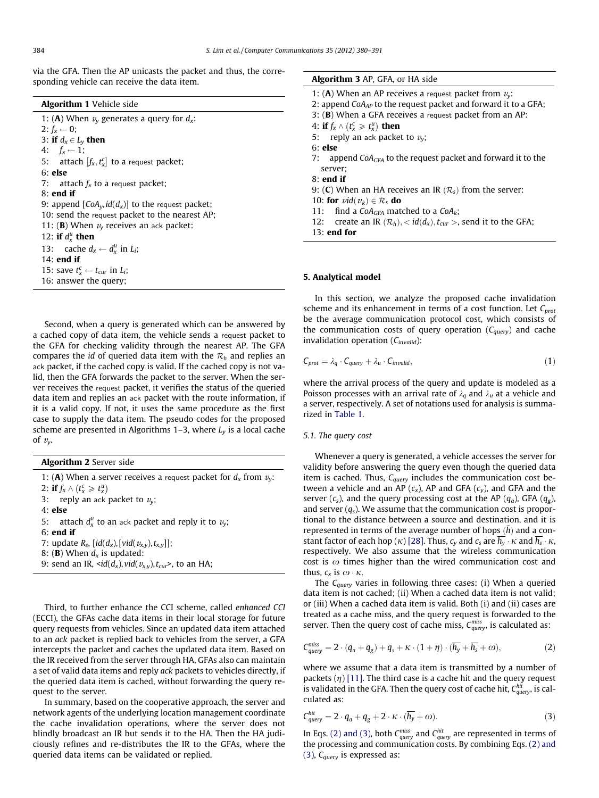<span id="page-4-0"></span>via the GFA. Then the AP unicasts the packet and thus, the corresponding vehicle can receive the data item.

#### Algorithm 1 Vehicle side

1: (A) When  $v_y$  generates a query for  $d_x$ : 2:  $f_x \leftarrow 0$ ; 3: if  $d_x \in L_y$  then 4:  $f_x \leftarrow 1$ ; 5: attach  $[f_x, t_x^c]$  to a request packet; 6: else 7: attach  $f_x$  to a request packet; 8: end if 9: append  $[CoA_v, id(d_x)]$  to the request packet; 10: send the request packet to the nearest AP; 11: (**B**) When  $v<sub>v</sub>$  receives an ack packet: 12: if  $d_x^u$  then 13: cache  $d_x \leftarrow d_x^u$  in  $L_i$ ; 14: end if 15: save  $t_x^c \leftarrow t_{cur}$  in  $L_i$ ; 16: answer the query;

Second, when a query is generated which can be answered by a cached copy of data item, the vehicle sends a request packet to the GFA for checking validity through the nearest AP. The GFA compares the *id* of queried data item with the  $\mathcal{R}_h$  and replies an ack packet, if the cached copy is valid. If the cached copy is not valid, then the GFA forwards the packet to the server. When the server receives the request packet, it verifies the status of the queried data item and replies an ack packet with the route information, if it is a valid copy. If not, it uses the same procedure as the first case to supply the data item. The pseudo codes for the proposed scheme are presented in Algorithms 1–3, where  $L<sub>y</sub>$  is a local cache of  $v_y$ .

Algorithm 2 Server side

1: (A) When a server receives a request packet for  $d_x$  from  $v_y$ : 2: if  $f_x \wedge (t_x^c \geq t_x^u)$ 3: reply an ack packet to  $v_y$ ; 4: else 5: attach  $d_x^u$  to an ack packet and reply it to  $v_y$ ; 6: end if 7: update  $R_s$ , [id(d<sub>x</sub>),[vid( $v_{x,y}$ ), $t_{x,y}$ ]]; 8: (**B**) When  $d_x$  is updated: 9: send an IR,  $\langle id(d_x), vid(v_{x,y}), t_{cur} \rangle$ , to an HA;

Third, to further enhance the CCI scheme, called enhanced CCI (ECCI), the GFAs cache data items in their local storage for future query requests from vehicles. Since an updated data item attached to an ack packet is replied back to vehicles from the server, a GFA intercepts the packet and caches the updated data item. Based on the IR received from the server through HA, GFAs also can maintain a set of valid data items and reply ack packets to vehicles directly, if the queried data item is cached, without forwarding the query request to the server.

In summary, based on the cooperative approach, the server and network agents of the underlying location management coordinate the cache invalidation operations, where the server does not blindly broadcast an IR but sends it to the HA. Then the HA judiciously refines and re-distributes the IR to the GFAs, where the queried data items can be validated or replied.

| <b>Algorithm 3 AP, GFA, or HA side</b>                                                            |
|---------------------------------------------------------------------------------------------------|
| 1: (A) When an AP receives a request packet from $v_y$ :                                          |
| 2: append $CoA_{AP}$ to the request packet and forward it to a GFA;                               |
| 3: (B) When a GFA receives a request packet from an AP:                                           |
| 4: if $f_x \wedge (t_x^c \geq t_x^u)$ then                                                        |
| 5: reply an ack packet to $v_y$ ;                                                                 |
| 6: else                                                                                           |
| 7: append $CoA_{CFA}$ to the request packet and forward it to the                                 |
| server:                                                                                           |
| $8:$ end if                                                                                       |
| 9: (C) When an HA receives an IR $(\mathcal{R}_s)$ from the server:                               |
| 10: for $vid(v_k) \in \mathcal{R}_s$ do                                                           |
| 11: find a CoA <sub>GFA</sub> matched to a CoA <sub>k</sub> :                                     |
| create an IR $(\mathcal{R}_h)$ , $\lt i d(d_x)$ , $t_{\text{cur}} >$ , send it to the GFA;<br>12: |
| $13:$ end for                                                                                     |

# 5. Analytical model

In this section, we analyze the proposed cache invalidation scheme and its enhancement in terms of a cost function. Let  $C_{prot}$ be the average communication protocol cost, which consists of the communication costs of query operation  $(C_{query})$  and cache invalidation operation  $(C_{invalid})$ :

$$
C_{prot} = \lambda_q \cdot C_{query} + \lambda_u \cdot C_{invalid}, \qquad (1)
$$

where the arrival process of the query and update is modeled as a Poisson processes with an arrival rate of  $\lambda_q$  and  $\lambda_u$  at a vehicle and a server, respectively. A set of notations used for analysis is summarized in [Table 1](#page-5-0).

#### 5.1. The query cost

Whenever a query is generated, a vehicle accesses the server for validity before answering the query even though the queried data item is cached. Thus,  $C_{query}$  includes the communication cost between a vehicle and an AP  $(c_x)$ , AP and GFA  $(c_y)$ , and GFA and the server  $(c_s)$ , and the query processing cost at the AP  $(q_a)$ , GFA  $(q_g)$ , and server  $(q_s)$ . We assume that the communication cost is proportional to the distance between a source and destination, and it is represented in terms of the average number of hops  $(\bar{h})$  and a constant factor of each hop  $(\kappa)$  [\[28\]](#page-10-0). Thus,  $c_v$  and  $c_s$  are  $h_v \cdot \kappa$  and  $h_s \cdot \kappa$ , respectively. We also assume that the wireless communication cost is  $\omega$  times higher than the wired communication cost and thus,  $c_x$  is  $\omega \cdot \kappa$ .

The  $C_{query}$  varies in following three cases: (i) When a queried data item is not cached; (ii) When a cached data item is not valid; or (iii) When a cached data item is valid. Both (i) and (ii) cases are treated as a cache miss, and the query request is forwarded to the server. Then the query cost of cache miss,  $C_{query}^{miss}$ , is calculated as:

$$
C_{query}^{miss} = 2 \cdot (q_a + q_g) + q_s + \kappa \cdot (1 + \eta) \cdot (\overline{h_y} + \overline{h_s} + \omega), \tag{2}
$$

where we assume that a data item is transmitted by a number of packets  $(\eta)$  [\[11\].](#page-10-0) The third case is a cache hit and the query request is validated in the GFA. Then the query cost of cache hit,  $C_{query}^{hit}$ , is calculated as:

$$
C_{query}^{hit} = 2 \cdot q_a + q_g + 2 \cdot \kappa \cdot (\overline{h_y} + \omega). \tag{3}
$$

In Eqs. (2) and (3), both  $C_{query}^{miss}$  and  $C_{query}^{hit}$  are represented in terms of the processing and communication costs. By combining Eqs. (2) and (3),  $C_{query}$  is expressed as: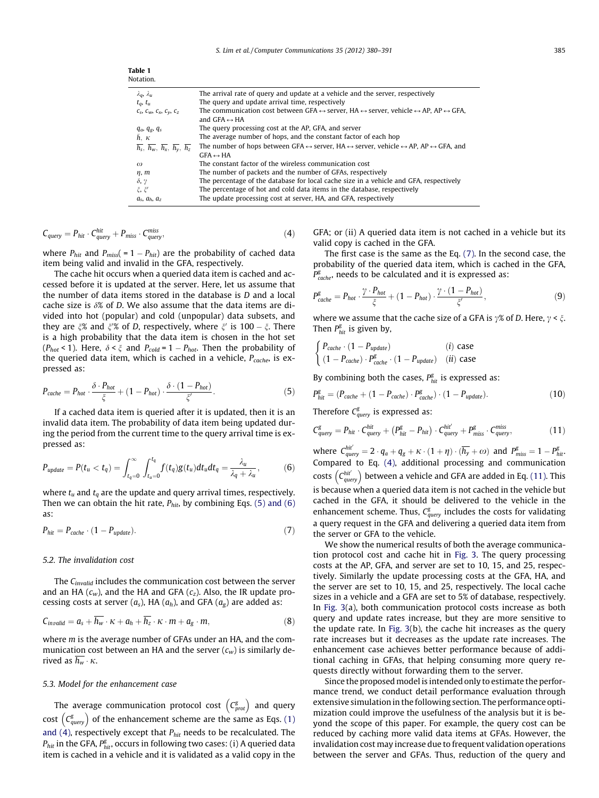<span id="page-5-0"></span>

| Table 1 |  |
|---------|--|
| Notatio |  |

| otation.                                                                         |                                                                                                                                                   |
|----------------------------------------------------------------------------------|---------------------------------------------------------------------------------------------------------------------------------------------------|
| $\lambda_a, \lambda_u$                                                           | The arrival rate of query and update at a vehicle and the server, respectively                                                                    |
| $t_a, t_u$                                                                       | The query and update arrival time, respectively                                                                                                   |
| $C_s$ , $C_w$ , $C_x$ , $C_v$ , $C_z$                                            | The communication cost between GFA $\leftrightarrow$ server, HA $\leftrightarrow$ server, vehicle $\leftrightarrow$ AP, AP $\leftrightarrow$ GFA, |
|                                                                                  | and GFA $\leftrightarrow$ HA                                                                                                                      |
| $q_a, q_g, q_s$                                                                  | The query processing cost at the AP, GFA, and server                                                                                              |
| $\bar{h}$ , $\kappa$                                                             | The average number of hops, and the constant factor of each hop                                                                                   |
| $\overline{h_s}, \overline{h_w}, \overline{h_x}, \overline{h_y}, \overline{h_z}$ | The number of hops between GFA $\leftrightarrow$ server, HA $\leftrightarrow$ server, vehicle $\leftrightarrow$ AP, AP $\leftrightarrow$ GFA, and |
|                                                                                  | $GFA \leftrightarrow HA$                                                                                                                          |
| $\omega$                                                                         | The constant factor of the wireless communication cost                                                                                            |
| $\eta$ , $m$                                                                     | The number of packets and the number of GFAs, respectively                                                                                        |
| $\delta, \gamma$                                                                 | The percentage of the database for local cache size in a vehicle and GFA, respectively                                                            |
| $\xi, \xi'$                                                                      | The percentage of hot and cold data items in the database, respectively                                                                           |
| $a_s$ , $a_h$ , $a_z$                                                            | The update processing cost at server, HA, and GFA, respectively                                                                                   |

$$
C_{query} = P_{hit} \cdot C_{query}^{hit} + P_{miss} \cdot C_{query}^{miss},
$$
\n(4)

where  $P_{hit}$  and  $P_{miss}$  = 1 –  $P_{hit}$ ) are the probability of cached data item being valid and invalid in the GFA, respectively.

The cache hit occurs when a queried data item is cached and accessed before it is updated at the server. Here, let us assume that the number of data items stored in the database is D and a local cache size is  $\delta\%$  of D. We also assume that the data items are divided into hot (popular) and cold (unpopular) data subsets, and they are  $\xi\%$  and  $\xi'\%$  of D, respectively, where  $\xi'$  is 100 –  $\xi$ . There is a high probability that the data item is chosen in the hot set ( $P_{hot}$  < 1). Here,  $\delta < \xi$  and  $P_{cold} = 1 - P_{hot}$ . Then the probability of the queried data item, which is cached in a vehicle,  $P_{cache}$ , is expressed as:

$$
P_{cache} = P_{hot} \cdot \frac{\delta \cdot P_{hot}}{\xi} + (1 - P_{hot}) \cdot \frac{\delta \cdot (1 - P_{hot})}{\xi'}.
$$
 (5)

If a cached data item is queried after it is updated, then it is an invalid data item. The probability of data item being updated during the period from the current time to the query arrival time is expressed as:

$$
P_{\text{update}} = P(t_u < t_q) = \int_{t_q=0}^{\infty} \int_{t_u=0}^{t_q} f(t_q)g(t_u)dt_u dt_q = \frac{\lambda_u}{\lambda_q + \lambda_u},\tag{6}
$$

where  $t_u$  and  $t_q$  are the update and query arrival times, respectively. Then we can obtain the hit rate,  $P_{hit}$ , by combining Eqs. (5) and (6) as:

$$
P_{hit} = P_{cache} \cdot (1 - P_{update}). \tag{7}
$$

#### 5.2. The invalidation cost

The  $C_{invalid}$  includes the communication cost between the server and an HA  $(c_w)$ , and the HA and GFA  $(c_z)$ . Also, the IR update processing costs at server  $(a_s)$ , HA  $(a_h)$ , and GFA  $(a_g)$  are added as:

$$
C_{\text{invalid}} = a_s + \overline{h_w} \cdot \kappa + a_h + \overline{h_z} \cdot \kappa \cdot m + a_g \cdot m, \qquad (8)
$$

where *m* is the average number of GFAs under an HA, and the communication cost between an HA and the server  $(c_w)$  is similarly derived as  $\overline{h_w} \cdot \kappa$ .

#### 5.3. Model for the enhancement case

The average communication protocol cost  $\left(\mathsf{C}^{\mathsf{g}}_{\textit{prot}}\right)$  and query  $\cos \left( C_{query}^{g} \right)$  of the enhancement scheme are the same as Eqs. [\(1\)](#page-4-0) [and \(4\)](#page-4-0), respectively except that  $P_{hit}$  needs to be recalculated. The  $P_{hit}$  in the GFA,  $P^{\rm g}_{hit}$ , occurs in following two cases: (i) A queried data item is cached in a vehicle and it is validated as a valid copy in the GFA; or (ii) A queried data item is not cached in a vehicle but its valid copy is cached in the GFA.

The first case is the same as the Eq. (7). In the second case, the probability of the queried data item, which is cached in the GFA,  $P^g_{cache}$ , needs to be calculated and it is expressed as:

$$
P_{cache}^{g} = P_{hot} \cdot \frac{\gamma \cdot P_{hot}}{\xi} + (1 - P_{hot}) \cdot \frac{\gamma \cdot (1 - P_{hot})}{\xi'}, \qquad (9)
$$

where we assume that the cache size of a GFA is  $\gamma$ % of D. Here,  $\gamma$  <  $\xi$ . Then  $P_{hit}^g$  is given by,

$$
\begin{cases}\nP_{cache} \cdot (1 - P_{update}) & (i) case \\
(1 - P_{cache}) \cdot P_{cache}^{g} \cdot (1 - P_{update}) & (ii) case\n\end{cases}
$$

By combining both the cases,  $P_{hit}^g$  is expressed as:

$$
P_{hit}^g = (P_{cache} + (1 - P_{cache}) \cdot P_{cache}^g) \cdot (1 - P_{update}). \tag{10}
$$

Therefore  $\mathcal{C}^{\text{g}}_{query}$  is expressed as:

$$
C_{query}^g = P_{hit} \cdot C_{query}^{hit} + (P_{hit}^g - P_{hit}) \cdot C_{query}^{hit'} + P_{miss}^g \cdot C_{query}^{miss}, \qquad (11)
$$

where  $C_{query}^{hit'} = 2 \cdot q_a + q_g + \kappa \cdot (1 + \eta) \cdot (\overline{h_y} + \omega)$  and  $P_{miss}^g = 1 - P_{hit}^g$ . Compared to Eq. (4), additional processing and communication costs  $(c_{query}^{hit'})$  between a vehicle and GFA are added in Eq. (11). This is because when a queried data item is not cached in the vehicle but cached in the GFA, it should be delivered to the vehicle in the enhancement scheme. Thus,  $C_{query}^g$  includes the costs for validating a query request in the GFA and delivering a queried data item from the server or GFA to the vehicle.

We show the numerical results of both the average communication protocol cost and cache hit in [Fig. 3.](#page-6-0) The query processing costs at the AP, GFA, and server are set to 10, 15, and 25, respectively. Similarly the update processing costs at the GFA, HA, and the server are set to 10, 15, and 25, respectively. The local cache sizes in a vehicle and a GFA are set to 5% of database, respectively. In [Fig. 3\(](#page-6-0)a), both communication protocol costs increase as both query and update rates increase, but they are more sensitive to the update rate. In [Fig. 3\(](#page-6-0)b), the cache hit increases as the query rate increases but it decreases as the update rate increases. The enhancement case achieves better performance because of additional caching in GFAs, that helping consuming more query requests directly without forwarding them to the server.

Since the proposed model is intended only to estimate the performance trend, we conduct detail performance evaluation through extensive simulation in the following section. The performance optimization could improve the usefulness of the analysis but it is beyond the scope of this paper. For example, the query cost can be reduced by caching more valid data items at GFAs. However, the invalidation cost may increase due to frequent validation operations between the server and GFAs. Thus, reduction of the query and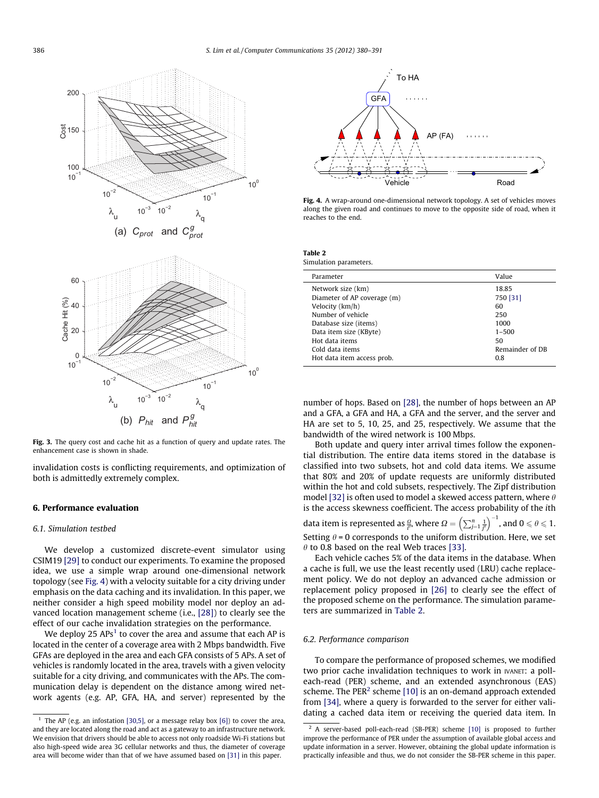<span id="page-6-0"></span>

Fig. 3. The query cost and cache hit as a function of query and update rates. The enhancement case is shown in shade.

invalidation costs is conflicting requirements, and optimization of both is admittedly extremely complex.

### 6. Performance evaluation

#### 6.1. Simulation testbed

We develop a customized discrete-event simulator using CSIM19 [\[29\]](#page-10-0) to conduct our experiments. To examine the proposed idea, we use a simple wrap around one-dimensional network topology (see Fig. 4) with a velocity suitable for a city driving under emphasis on the data caching and its invalidation. In this paper, we neither consider a high speed mobility model nor deploy an advanced location management scheme (i.e., [\[28\]\)](#page-10-0) to clearly see the effect of our cache invalidation strategies on the performance.

We deploy 25  $APs<sup>1</sup>$  to cover the area and assume that each AP is located in the center of a coverage area with 2 Mbps bandwidth. Five GFAs are deployed in the area and each GFA consists of 5 APs. A set of vehicles is randomly located in the area, travels with a given velocity suitable for a city driving, and communicates with the APs. The communication delay is dependent on the distance among wired network agents (e.g. AP, GFA, HA, and server) represented by the



Fig. 4. A wrap-around one-dimensional network topology. A set of vehicles moves along the given road and continues to move to the opposite side of road, when it reaches to the end.

| Table 2 |                        |
|---------|------------------------|
|         | Simulation parameters. |

| Network size (km)           | 18.85           |
|-----------------------------|-----------------|
| Diameter of AP coverage (m) | 750 [31]        |
| Velocity (km/h)             | 60              |
| Number of vehicle           | 250             |
| Database size (items)       | 1000            |
| Data item size (KByte)      | $1 - 500$       |
| Hot data items              | 50              |
| Cold data items             | Remainder of DB |
| Hot data item access prob.  | 0.8             |

number of hops. Based on [\[28\]](#page-10-0), the number of hops between an AP and a GFA, a GFA and HA, a GFA and the server, and the server and HA are set to 5, 10, 25, and 25, respectively. We assume that the bandwidth of the wired network is 100 Mbps.

Both update and query inter arrival times follow the exponential distribution. The entire data items stored in the database is classified into two subsets, hot and cold data items. We assume that 80% and 20% of update requests are uniformly distributed within the hot and cold subsets, respectively. The Zipf distribution model [\[32\]](#page-11-0) is often used to model a skewed access pattern, where  $\theta$ is the access skewness coefficient. The access probability of the ith

data item is represented as  $\frac{\Omega}{l^{\beta}}$ , where  $\Omega=\left(\sum_{j=1}^n\frac{1}{l^{\beta}}\right)^{-1}$ , and  $0\leqslant\theta\leqslant1.$ Setting  $\theta$  = 0 corresponds to the uniform distribution. Here, we set  $\theta$  to 0.8 based on the real Web traces [\[33\]](#page-11-0).

Each vehicle caches 5% of the data items in the database. When a cache is full, we use the least recently used (LRU) cache replacement policy. We do not deploy an advanced cache admission or replacement policy proposed in [\[26\]](#page-10-0) to clearly see the effect of the proposed scheme on the performance. The simulation parameters are summarized in Table 2.

#### 6.2. Performance comparison

To compare the performance of proposed schemes, we modified two prior cache invalidation techniques to work in *IVANET*: a polleach-read (PER) scheme, and an extended asynchronous (EAS) scheme. The  $PER<sup>2</sup>$  scheme [\[10\]](#page-10-0) is an on-demand approach extended from [\[34\]](#page-11-0), where a query is forwarded to the server for either validating a cached data item or receiving the queried data item. In

<sup>&</sup>lt;sup>1</sup> The AP (e.g. an infostation [\[30,5\]](#page-10-0), or a message relay box [\[6\]\)](#page-10-0) to cover the area, and they are located along the road and act as a gateway to an infrastructure network. We envision that drivers should be able to access not only roadside Wi-Fi stations but also high-speed wide area 3G cellular networks and thus, the diameter of coverage area will become wider than that of we have assumed based on [\[31\]](#page-11-0) in this paper.

<sup>&</sup>lt;sup>2</sup> A server-based poll-each-read (SB-PER) scheme [\[10\]](#page-10-0) is proposed to further improve the performance of PER under the assumption of available global access and update information in a server. However, obtaining the global update information is practically infeasible and thus, we do not consider the SB-PER scheme in this paper.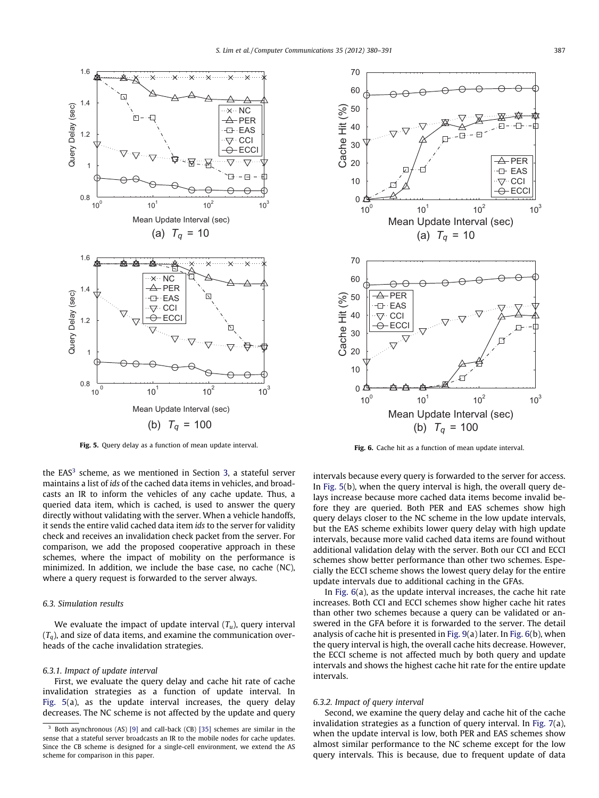

Fig. 5. Query delay as a function of mean update interval.

the  $EAS<sup>3</sup>$  scheme, as we mentioned in Section [3,](#page-1-0) a stateful server maintains a list of ids of the cached data items in vehicles, and broadcasts an IR to inform the vehicles of any cache update. Thus, a queried data item, which is cached, is used to answer the query directly without validating with the server. When a vehicle handoffs, it sends the entire valid cached data item ids to the server for validity check and receives an invalidation check packet from the server. For comparison, we add the proposed cooperative approach in these schemes, where the impact of mobility on the performance is minimized. In addition, we include the base case, no cache (NC), where a query request is forwarded to the server always.

#### 6.3. Simulation results

We evaluate the impact of update interval  $(T_u)$ , query interval  $(T_a)$ , and size of data items, and examine the communication overheads of the cache invalidation strategies.

#### 6.3.1. Impact of update interval

First, we evaluate the query delay and cache hit rate of cache invalidation strategies as a function of update interval. In Fig. 5(a), as the update interval increases, the query delay decreases. The NC scheme is not affected by the update and query



Fig. 6. Cache hit as a function of mean update interval.

intervals because every query is forwarded to the server for access. In Fig. 5(b), when the query interval is high, the overall query delays increase because more cached data items become invalid before they are queried. Both PER and EAS schemes show high query delays closer to the NC scheme in the low update intervals, but the EAS scheme exhibits lower query delay with high update intervals, because more valid cached data items are found without additional validation delay with the server. Both our CCI and ECCI schemes show better performance than other two schemes. Especially the ECCI scheme shows the lowest query delay for the entire update intervals due to additional caching in the GFAs.

In Fig. 6(a), as the update interval increases, the cache hit rate increases. Both CCI and ECCI schemes show higher cache hit rates than other two schemes because a query can be validated or answered in the GFA before it is forwarded to the server. The detail analysis of cache hit is presented in [Fig. 9\(](#page-9-0)a) later. In Fig. 6(b), when the query interval is high, the overall cache hits decrease. However, the ECCI scheme is not affected much by both query and update intervals and shows the highest cache hit rate for the entire update intervals.

# 6.3.2. Impact of query interval

Second, we examine the query delay and cache hit of the cache invalidation strategies as a function of query interval. In [Fig. 7](#page-8-0)(a), when the update interval is low, both PER and EAS schemes show almost similar performance to the NC scheme except for the low query intervals. This is because, due to frequent update of data

Both asynchronous (AS) [\[9\]](#page-10-0) and call-back (CB) [\[35\]](#page-11-0) schemes are similar in the sense that a stateful server broadcasts an IR to the mobile nodes for cache updates. Since the CB scheme is designed for a single-cell environment, we extend the AS scheme for comparison in this paper.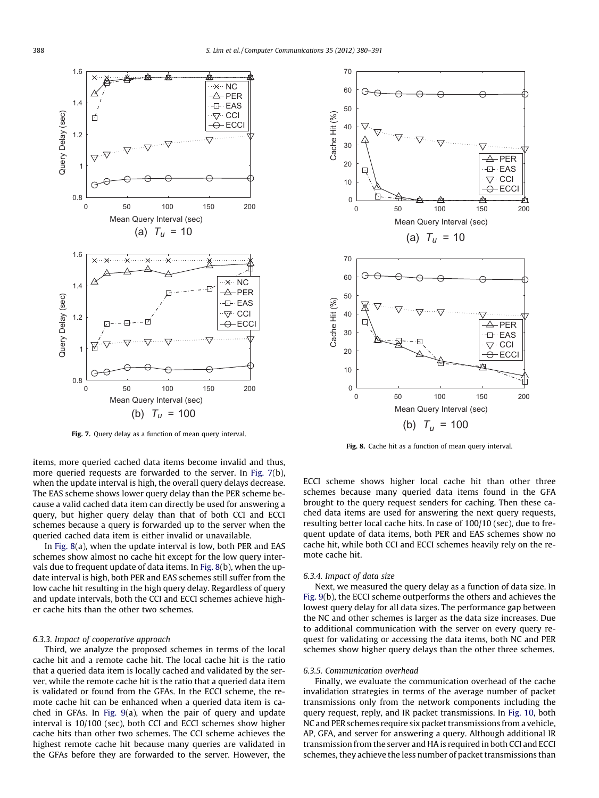<span id="page-8-0"></span>

Fig. 7. Query delay as a function of mean query interval.

items, more queried cached data items become invalid and thus, more queried requests are forwarded to the server. In Fig. 7(b), when the update interval is high, the overall query delays decrease. The EAS scheme shows lower query delay than the PER scheme because a valid cached data item can directly be used for answering a query, but higher query delay than that of both CCI and ECCI schemes because a query is forwarded up to the server when the queried cached data item is either invalid or unavailable.

In Fig. 8(a), when the update interval is low, both PER and EAS schemes show almost no cache hit except for the low query intervals due to frequent update of data items. In Fig. 8(b), when the update interval is high, both PER and EAS schemes still suffer from the low cache hit resulting in the high query delay. Regardless of query and update intervals, both the CCI and ECCI schemes achieve higher cache hits than the other two schemes.

#### 6.3.3. Impact of cooperative approach

Third, we analyze the proposed schemes in terms of the local cache hit and a remote cache hit. The local cache hit is the ratio that a queried data item is locally cached and validated by the server, while the remote cache hit is the ratio that a queried data item is validated or found from the GFAs. In the ECCI scheme, the remote cache hit can be enhanced when a queried data item is cached in GFAs. In [Fig. 9](#page-9-0)(a), when the pair of query and update interval is 10/100 (sec), both CCI and ECCI schemes show higher cache hits than other two schemes. The CCI scheme achieves the highest remote cache hit because many queries are validated in the GFAs before they are forwarded to the server. However, the



Fig. 8. Cache hit as a function of mean query interval.

ECCI scheme shows higher local cache hit than other three schemes because many queried data items found in the GFA brought to the query request senders for caching. Then these cached data items are used for answering the next query requests, resulting better local cache hits. In case of 100/10 (sec), due to frequent update of data items, both PER and EAS schemes show no cache hit, while both CCI and ECCI schemes heavily rely on the remote cache hit.

#### 6.3.4. Impact of data size

Next, we measured the query delay as a function of data size. In [Fig. 9\(](#page-9-0)b), the ECCI scheme outperforms the others and achieves the lowest query delay for all data sizes. The performance gap between the NC and other schemes is larger as the data size increases. Due to additional communication with the server on every query request for validating or accessing the data items, both NC and PER schemes show higher query delays than the other three schemes.

#### 6.3.5. Communication overhead

Finally, we evaluate the communication overhead of the cache invalidation strategies in terms of the average number of packet transmissions only from the network components including the query request, reply, and IR packet transmissions. In [Fig. 10,](#page-9-0) both NC and PER schemes require six packet transmissions from a vehicle, AP, GFA, and server for answering a query. Although additional IR transmission from the server and HA is required in both CCI and ECCI schemes, they achieve the less number of packet transmissions than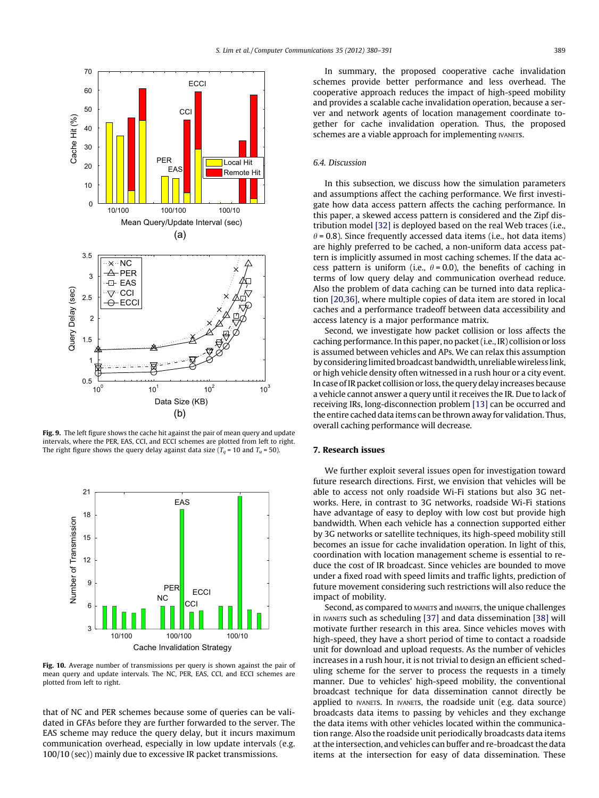<span id="page-9-0"></span>

Fig. 9. The left figure shows the cache hit against the pair of mean query and update intervals, where the PER, EAS, CCI, and ECCI schemes are plotted from left to right. The right figure shows the query delay against data size ( $T_q$  = 10 and  $T_u$  = 50).



Fig. 10. Average number of transmissions per query is shown against the pair of mean query and update intervals. The NC, PER, EAS, CCI, and ECCI schemes are plotted from left to right.

that of NC and PER schemes because some of queries can be validated in GFAs before they are further forwarded to the server. The EAS scheme may reduce the query delay, but it incurs maximum communication overhead, especially in low update intervals (e.g. 100/10 (sec)) mainly due to excessive IR packet transmissions.

In summary, the proposed cooperative cache invalidation schemes provide better performance and less overhead. The cooperative approach reduces the impact of high-speed mobility and provides a scalable cache invalidation operation, because a server and network agents of location management coordinate together for cache invalidation operation. Thus, the proposed schemes are a viable approach for implementing IVANETS.

# 6.4. Discussion

In this subsection, we discuss how the simulation parameters and assumptions affect the caching performance. We first investigate how data access pattern affects the caching performance. In this paper, a skewed access pattern is considered and the Zipf distribution model [\[32\]](#page-11-0) is deployed based on the real Web traces (i.e.,  $\theta$  = 0.8). Since frequently accessed data items (i.e., hot data items) are highly preferred to be cached, a non-uniform data access pattern is implicitly assumed in most caching schemes. If the data access pattern is uniform (i.e.,  $\theta = 0.0$ ), the benefits of caching in terms of low query delay and communication overhead reduce. Also the problem of data caching can be turned into data replication [\[20,36\],](#page-10-0) where multiple copies of data item are stored in local caches and a performance tradeoff between data accessibility and access latency is a major performance matrix.

Second, we investigate how packet collision or loss affects the caching performance. In this paper, no packet (i.e., IR) collision or loss is assumed between vehicles and APs. We can relax this assumption by considering limited broadcast bandwidth, unreliablewireless link, or high vehicle density often witnessed in a rush hour or a city event. In case of IR packet collision or loss, the query delay increases because a vehicle cannot answer a query until it receives the IR. Due to lack of receiving IRs, long-disconnection problem [\[13\]](#page-10-0) can be occurred and the entire cached data items can be thrown away for validation. Thus, overall caching performance will decrease.

#### 7. Research issues

We further exploit several issues open for investigation toward future research directions. First, we envision that vehicles will be able to access not only roadside Wi-Fi stations but also 3G networks. Here, in contrast to 3G networks, roadside Wi-Fi stations have advantage of easy to deploy with low cost but provide high bandwidth. When each vehicle has a connection supported either by 3G networks or satellite techniques, its high-speed mobility still becomes an issue for cache invalidation operation. In light of this, coordination with location management scheme is essential to reduce the cost of IR broadcast. Since vehicles are bounded to move under a fixed road with speed limits and traffic lights, prediction of future movement considering such restrictions will also reduce the impact of mobility.

Second, as compared to MANETS and IMANETS, the unique challenges in IVANETS such as scheduling [\[37\]](#page-11-0) and data dissemination [\[38\]](#page-11-0) will motivate further research in this area. Since vehicles moves with high-speed, they have a short period of time to contact a roadside unit for download and upload requests. As the number of vehicles increases in a rush hour, it is not trivial to design an efficient scheduling scheme for the server to process the requests in a timely manner. Due to vehicles' high-speed mobility, the conventional broadcast technique for data dissemination cannot directly be applied to *IVANETS*. In *IVANETS*, the roadside unit (e.g. data source) broadcasts data items to passing by vehicles and they exchange the data items with other vehicles located within the communication range. Also the roadside unit periodically broadcasts data items at the intersection, and vehicles can buffer and re-broadcast the data items at the intersection for easy of data dissemination. These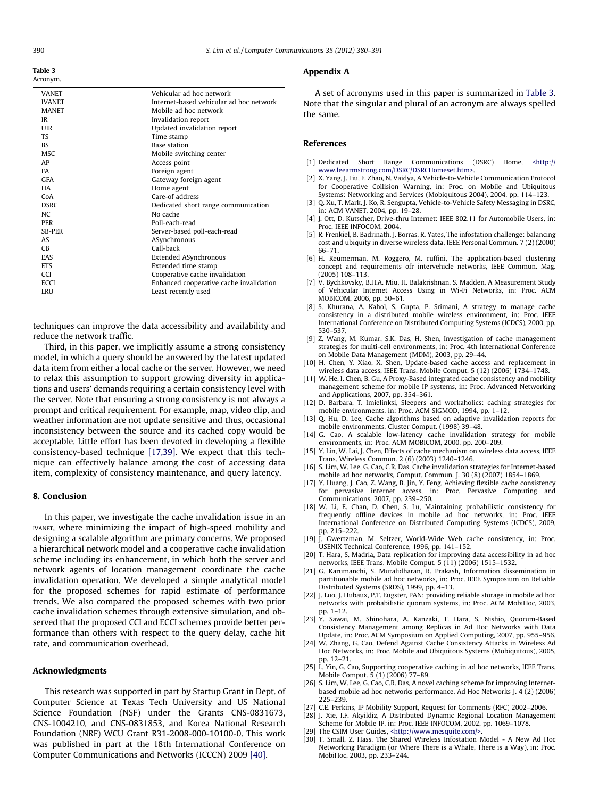#### <span id="page-10-0"></span>Table 3

Acronym. VANET Vehicular ad hoc network IVANET INTERNATION INTERNATION INTERNATIONAL INTERNATIONAL INTERNATIONAL INTERNATIONAL INTERNATIONAL INTERNATION<br>INTERNATIONAL INTERNATIONAL INTERNATIONAL INTERNATIONAL INTERNATIONAL INTERNATIONAL INTERNATIONAL INTERNATION Mobile ad hoc network IR Invalidation report UIR Updated invalidation report TS Time stamp BS Base station<br>MSC Mobile swit MSC Mobile switching center<br>Access point Access point FA Foreign agent GFA Gateway foreign agent HA Home agent CoA Care-of address DSRC DED Dedicated short range communication NC No cache PER Poll-each-read<br>
SP-PER Server-based r Server-based poll-each-read AS ASynchronous CB Call-back EAS Extended ASynchronous ETS Extended time stamp CCI Cooperative cache invalidation ECCI Enhanced cooperative cache invalidation LRU Least recently used

techniques can improve the data accessibility and availability and reduce the network traffic.

Third, in this paper, we implicitly assume a strong consistency model, in which a query should be answered by the latest updated data item from either a local cache or the server. However, we need to relax this assumption to support growing diversity in applications and users' demands requiring a certain consistency level with the server. Note that ensuring a strong consistency is not always a prompt and critical requirement. For example, map, video clip, and weather information are not update sensitive and thus, occasional inconsistency between the source and its cached copy would be acceptable. Little effort has been devoted in developing a flexible consistency-based technique [17,39]. We expect that this technique can effectively balance among the cost of accessing data item, complexity of consistency maintenance, and query latency.

#### 8. Conclusion

In this paper, we investigate the cache invalidation issue in an IVANET, where minimizing the impact of high-speed mobility and designing a scalable algorithm are primary concerns. We proposed a hierarchical network model and a cooperative cache invalidation scheme including its enhancement, in which both the server and network agents of location management coordinate the cache invalidation operation. We developed a simple analytical model for the proposed schemes for rapid estimate of performance trends. We also compared the proposed schemes with two prior cache invalidation schemes through extensive simulation, and observed that the proposed CCI and ECCI schemes provide better performance than others with respect to the query delay, cache hit rate, and communication overhead.

#### Acknowledgments

This research was supported in part by Startup Grant in Dept. of Computer Science at Texas Tech University and US National Science Foundation (NSF) under the Grants CNS-0831673, CNS-1004210, and CNS-0831853, and Korea National Research Foundation (NRF) WCU Grant R31-2008-000-10100-0. This work was published in part at the 18th International Conference on Computer Communications and Networks (ICCCN) 2009 [\[40\]](#page-11-0).

#### Appendix A

A set of acronyms used in this paper is summarized in Table 3. Note that the singular and plural of an acronym are always spelled the same.

#### References

- [1] Dedicated Short Range Communications (DSRC) Home, [<http://](http://www.leearmstrong.com/DSRC/DSRCHomeset.htm) [www.leearmstrong.com/DSRC/DSRCHomeset.htm>.](http://www.leearmstrong.com/DSRC/DSRCHomeset.htm)
- [2] X. Yang, J. Liu, F. Zhao, N. Vaidya, A Vehicle-to-Vehicle Communication Protocol for Cooperative Collision Warning, in: Proc. on Mobile and Ubiquitous Systems: Networking and Services (Mobiquitous 2004), 2004, pp. 114–123.
- [3] Q. Xu, T. Mark, J. Ko, R. Sengupta, Vehicle-to-Vehicle Safety Messaging in DSRC, in: ACM VANET, 2004, pp. 19–28.
- [4] J. Ott, D. Kutscher, Drive-thru Internet: IEEE 802.11 for Automobile Users, in: Proc. IEEE INFOCOM, 2004.
- [5] R. Frenkiel, B. Badrinath, J. Borras, R. Yates, The infostation challenge: balancing cost and ubiquity in diverse wireless data, IEEE Personal Commun. 7 (2) (2000) 66–71.
- [6] H. Reumerman, M. Roggero, M. ruffini, The application-based clustering concept and requirements ofr intervehicle networks, IEEE Commun. Mag. (2005) 108–113.
- V. Bychkovsky, B.H.A. Miu, H. Balakrishnan, S. Madden, A Measurement Study of Vehicular Internet Access Using in Wi-Fi Networks, in: Proc. ACM MOBICOM, 2006, pp. 50–61.
- [8] S. Khurana, A. Kahol, S. Gupta, P. Srimani, A strategy to manage cache consistency in a distributed mobile wireless environment, in: Proc. IEEE International Conference on Distributed Computing Systems (ICDCS), 2000, pp. 530–537.
- [9] Z. Wang, M. Kumar, S.K. Das, H. Shen, Investigation of cache management strategies for multi-cell environments, in: Proc. 4th International Conference on Mobile Data Management (MDM), 2003, pp. 29–44.
- [10] H. Chen, Y. Xiao, X. Shen, Update-based cache access and replacement in wireless data access, IEEE Trans. Mobile Comput. 5 (12) (2006) 1734–1748.
- [11] W. He, I. Chen, B. Gu, A Proxy-Based integrated cache consistency and mobility management scheme for mobile IP systems, in: Proc. Advanced Networking and Applications, 2007, pp. 354–361.
- [12] D. Barbara, T. Imielinksi, Sleepers and workaholics: caching strategies for mobile environments, in: Proc. ACM SIGMOD, 1994, pp. 1–12.
- [13] Q. Hu, D. Lee, Cache algorithms based on adaptive invalidation reports for mobile environments, Cluster Comput. (1998) 39–48.
- [14] G. Cao, A scalable low-latency cache invalidation strategy for mobile environments, in: Proc. ACM MOBICOM, 2000, pp. 200–209.
- [15] Y. Lin, W. Lai, J. Chen, Effects of cache mechanism on wireless data access, IEEE Trans. Wireless Commun. 2 (6) (2003) 1240–1246.
- [16] S. Lim, W. Lee, G. Cao, C.R. Das, Cache invalidation strategies for Internet-based mobile ad hoc networks, Comput. Commun. J. 30 (8) (2007) 1854–1869.
- [17] Y. Huang, J. Cao, Z. Wang, B. Jin, Y. Feng, Achieving flexible cache consistency for pervasive internet access, in: Proc. Pervasive Computing and Communications, 2007, pp. 239–250.
- [18] W. Li, E. Chan, D. Chen, S. Lu, Maintaining probabilistic consistency for frequently offline devices in mobile ad hoc networks, in: Proc. IEEE International Conference on Distributed Computing Systems (ICDCS), 2009, pp. 215–222.
- [19] J. Gwertzman, M. Seltzer, World-Wide Web cache consistency, in: Proc. USENIX Technical Conference, 1996, pp. 141–152.
- [20] T. Hara, S. Madria, Data replication for improving data accessibility in ad hoc networks, IEEE Trans. Mobile Comput. 5 (11) (2006) 1515–1532.
- [21] G. Karumanchi, S. Muralidharan, R. Prakash, Information dissemination in partitionable mobile ad hoc networks, in: Proc. IEEE Symposium on Reliable Distributed Systems (SRDS), 1999, pp. 4–13.
- [22] J. Luo, J. Hubaux, P.T. Eugster, PAN: providing reliable storage in mobile ad hoc networks with probabilistic quorum systems, in: Proc. ACM MobiHoc, 2003, pp. 1–12.
- [23] Y. Sawai, M. Shinohara, A. Kanzaki, T. Hara, S. Nishio, Quorum-Based Consistency Management among Replicas in Ad Hoc Networks with Data Update, in: Proc. ACM Symposium on Applied Computing, 2007, pp. 955–956.
- [24] W. Zhang, G. Cao, Defend Against Cache Consistency Attacks in Wireless Ad Hoc Networks, in: Proc. Mobile and Ubiquitous Systems (Mobiquitous), 2005, pp. 12–21.
- [25] L. Yin, G. Cao, Supporting cooperative caching in ad hoc networks, IEEE Trans. Mobile Comput. 5 (1) (2006) 77–89.
- [26] S. Lim, W. Lee, G. Cao, C.R. Das, A novel caching scheme for improving Internetbased mobile ad hoc networks performance, Ad Hoc Networks J. 4 (2) (2006) 225–239.
- 27] C.E. Perkins, IP Mobility Support, Request for Comments (RFC) 2002–2006.
- [28] J. Xie, I.F. Akyildiz, A Distributed Dynamic Regional Location Management Scheme for Mobile IP, in: Proc. IEEE INFOCOM, 2002, pp. 1069–1078.
- [29] The CSIM User Guides, [<http://www.mesquite.com/>](http://www.mesquite.com/).
- [30] T. Small, Z. Hass, The Shared Wireless Infostation Model A New Ad Hoc Networking Paradigm (or Where There is a Whale, There is a Way), in: Proc. MobiHoc, 2003, pp. 233–244.